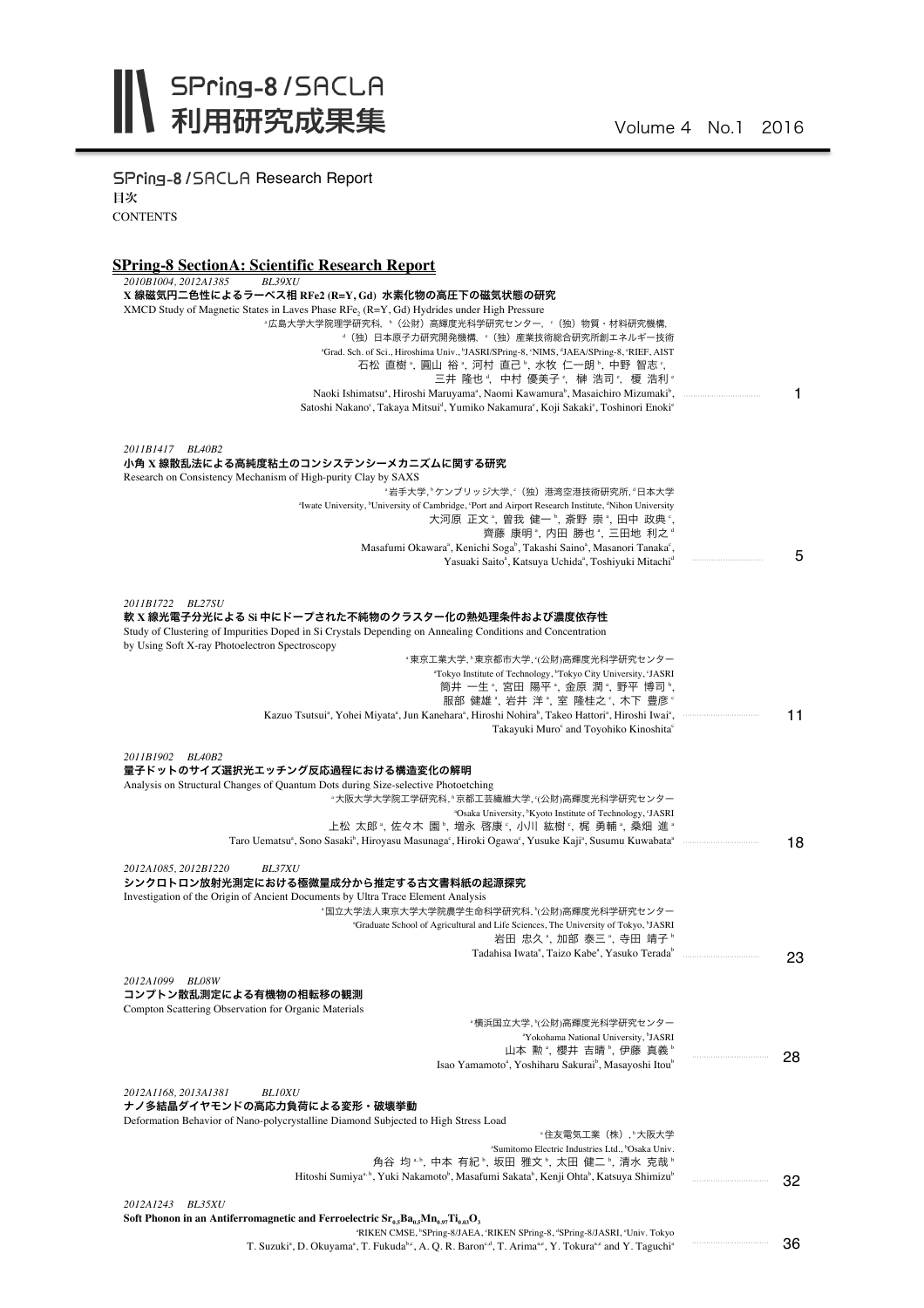SPring-8/SACLA Research Report 目次 **CONTENTS** 

## **SPring-8 SectionA: Scientific Research Report**

| 2010B1004, 2012A1385<br><b>BL39XU</b>                                                                                                                                                                                                         |    |
|-----------------------------------------------------------------------------------------------------------------------------------------------------------------------------------------------------------------------------------------------|----|
| X 線磁気円二色性によるラーベス相 RFe2 (R=Y, Gd) 水素化物の高圧下の磁気状態の研究                                                                                                                                                                                             |    |
| XMCD Study of Magnetic States in Laves Phase RFe, (R=Y, Gd) Hydrides under High Pressure                                                                                                                                                      |    |
| "広島大学大学院理学研究科,"(公財)高輝度光科学研究センター, '(独)物質・材料研究機構,                                                                                                                                                                                               |    |
| <sup>。</sup> (独) 日本原子力研究開発機構, <sup>。</sup> (独) 産業技術総合研究所創エネルギー技術                                                                                                                                                                              |    |
| "Grad. Sch. of Sci., Hiroshima Univ., "JASRI/SPring-8, "NIMS, "JAEA/SPring-8, "RIEF, AIST                                                                                                                                                     |    |
| 石松 直樹 *, 圓山 裕 *, 河村 直己 *, 水牧 仁一朗 *, 中野 智志 *,<br>三井 隆也 <sup>。</sup> , 中村 優美子 <sup>。</sup> , 榊 浩司 <sup>。</sup> , 榎 浩利 <sup>。</sup>                                                                                                              |    |
| Naoki Ishimatsu <sup>a</sup> , Hiroshi Maruyama <sup>a</sup> , Naomi Kawamura <sup>b</sup> , Masaichiro Mizumaki <sup>b</sup> ,                                                                                                               | 1  |
| Satoshi Nakano°, Takaya Mitsui <sup>d</sup> , Yumiko Nakamura°, Koji Sakaki°, Toshinori Enoki°                                                                                                                                                |    |
|                                                                                                                                                                                                                                               |    |
|                                                                                                                                                                                                                                               |    |
| 2011B1417 BL40B2                                                                                                                                                                                                                              |    |
| 小角 X 線散乱法による高純度粘土のコンシステンシーメカニズムに関する研究<br>Research on Consistency Mechanism of High-purity Clay by SAXS                                                                                                                                        |    |
| "岩手大学,"ケンブリッジ大学,"(独)港湾空港技術研究所,"日本大学                                                                                                                                                                                                           |    |
| "Iwate University, "University of Cambridge, 'Port and Airport Research Institute, "Nihon University                                                                                                                                          |    |
| 大河原 正文 <sup>。</sup> , 曽我 健一 <sup>。</sup> , 斎野 崇 <sup>。</sup> , 田中 政典 <sup>。</sup>                                                                                                                                                             |    |
| 齊藤 康明 *, 内田 勝也 *, 三田地 利之 *                                                                                                                                                                                                                    |    |
| Masafumi Okawara <sup>a</sup> , Kenichi Soga <sup>b</sup> , Takashi Saino <sup>a</sup> , Masanori Tanaka <sup>c</sup> ,                                                                                                                       | 5  |
| Yasuaki Saito <sup>a</sup> , Katsuya Uchida <sup>a</sup> , Toshiyuki Mitachi <sup>d</sup>                                                                                                                                                     |    |
|                                                                                                                                                                                                                                               |    |
| 2011B1722 BL27SU                                                                                                                                                                                                                              |    |
| 軟 X 線光電子分光による Si 中にドープされた不純物のクラスター化の熱処理条件および濃度依存性                                                                                                                                                                                             |    |
| Study of Clustering of Impurities Doped in Si Crystals Depending on Annealing Conditions and Concentration                                                                                                                                    |    |
| by Using Soft X-ray Photoelectron Spectroscopy                                                                                                                                                                                                |    |
| *東京工業大学、*東京都市大学、(公財)高輝度光科学研究センター                                                                                                                                                                                                              |    |
| "Tokyo Institute of Technology, "Tokyo City University, 'JASRI                                                                                                                                                                                |    |
| 筒井 一生 *, 宮田 陽平 *, 金原 潤 *, 野平 博司 *,                                                                                                                                                                                                            |    |
| 服部 健雄 *, 岩井 洋 *, 室 隆桂之 °, 木下 豊彦 °                                                                                                                                                                                                             |    |
| Kazuo Tsutsui <sup>a</sup> , Yohei Miyata <sup>a</sup> , Jun Kanehara <sup>a</sup> , Hiroshi Nohira <sup>b</sup> , Takeo Hattori <sup>a</sup> , Hiroshi Iwai <sup>a</sup> ,<br>Takayuki Muro <sup>c</sup> and Toyohiko Kinoshita <sup>c</sup> | 11 |
|                                                                                                                                                                                                                                               |    |
| 2011B1902 BL40B2                                                                                                                                                                                                                              |    |
| 量子ドットのサイズ選択光エッチング反応過程における構造変化の解明                                                                                                                                                                                                              |    |
| Analysis on Structural Changes of Quantum Dots during Size-selective Photoetching                                                                                                                                                             |    |
| "大阪大学大学院工学研究科, "京都工芸繊維大学, "(公財)高輝度光科学研究センター                                                                                                                                                                                                   |    |
| "Osaka University, "Kyoto Institute of Technology, 'JASRI                                                                                                                                                                                     |    |
| 上松 太郎 *, 佐々木 園 *, 増永 啓康 *, 小川 紘樹 *, 梶 勇輔 *, 桑畑 進 *<br>Taro Uematsu <sup>a</sup> , Sono Sasaki <sup>b</sup> , Hiroyasu Masunaga <sup>c</sup> , Hiroki Ogawa <sup>c</sup> , Yusuke Kaji <sup>a</sup> , Susumu Kuwabata <sup>a</sup>             |    |
|                                                                                                                                                                                                                                               | 18 |
| 2012A1085, 2012B1220<br><b>BL37XU</b>                                                                                                                                                                                                         |    |
| シンクロトロン放射光測定における極微量成分から推定する古文書料紙の起源探究                                                                                                                                                                                                         |    |
| Investigation of the Origin of Ancient Documents by Ultra Trace Element Analysis                                                                                                                                                              |    |
| ◦国立大学法人東京大学大学院農学生命科学研究科,≧公財)高輝度光科学研究センター                                                                                                                                                                                                      |    |
| <sup>a</sup> Graduate School of Agricultural and Life Sciences, The University of Tokyo, <sup>b</sup> JASRI                                                                                                                                   |    |
| 岩田 忠久 ",加部 泰三 ",寺田 靖子 "                                                                                                                                                                                                                       |    |
| Tadahisa Iwata <sup>a</sup> , Taizo Kabe <sup>a</sup> , Yasuko Terada <sup>b</sup>                                                                                                                                                            | 23 |
| 2012A1099 BL08W                                                                                                                                                                                                                               |    |
| コンプトン散乱測定による有機物の相転移の観測                                                                                                                                                                                                                        |    |
| Compton Scattering Observation for Organic Materials                                                                                                                                                                                          |    |
| ◦横浜国立大学, ʰ(公財)高輝度光科学研究センター                                                                                                                                                                                                                    |    |
| "Yokohama National University, "JASRI                                                                                                                                                                                                         |    |
| 山本 勲*, 櫻井 吉晴*, 伊藤 真義*                                                                                                                                                                                                                         | 28 |
| Isao Yamamoto <sup>a</sup> , Yoshiharu Sakurai <sup>b</sup> , Masayoshi Itou <sup>b</sup>                                                                                                                                                     |    |
| 2012A1168, 2013A1381<br><b>BLIOXU</b>                                                                                                                                                                                                         |    |
| ナノ多結晶ダイヤモンドの高応力負荷による変形・破壊挙動                                                                                                                                                                                                                   |    |
| Deformation Behavior of Nano-polycrystalline Diamond Subjected to High Stress Load                                                                                                                                                            |    |
| ·住友電気工業(株), ·大阪大学                                                                                                                                                                                                                             |    |
| "Sumitomo Electric Industries Ltd., "Osaka Univ.                                                                                                                                                                                              |    |
| 角谷 均 *.b, 中本 有紀 b, 坂田 雅文 b, 太田 健二 b, 清水 克哉 b                                                                                                                                                                                                  |    |
| Hitoshi Sumiya <sup>a, b</sup> , Yuki Nakamoto <sup>b</sup> , Masafumi Sakata <sup>b</sup> , Kenji Ohta <sup>b</sup> , Katsuya Shimizu <sup>b</sup>                                                                                           | 32 |
| 2012A1243<br><i>BL35XU</i>                                                                                                                                                                                                                    |    |
| Soft Phonon in an Antiferromagnetic and Ferroelectric $Sr_{0.5}Ba_{0.5}Mn_{0.97}Ti_{0.03}O_3$                                                                                                                                                 |    |
| <sup>a</sup> RIKEN CMSE, <sup>b</sup> SPring-8/JAEA, 'RIKEN SPring-8, <sup>d</sup> SPring-8/JASRI, 'Univ. Tokyo                                                                                                                               |    |
| T. Suzuki <sup>a</sup> , D. Okuyama <sup>a</sup> , T. Fukuda <sup>b,c</sup> , A. Q. R. Baron <sup>c,d</sup> , T. Arima <sup>a,c</sup> , Y. Tokura <sup>a,c</sup> and Y. Taguchi <sup>a</sup>                                                  | 36 |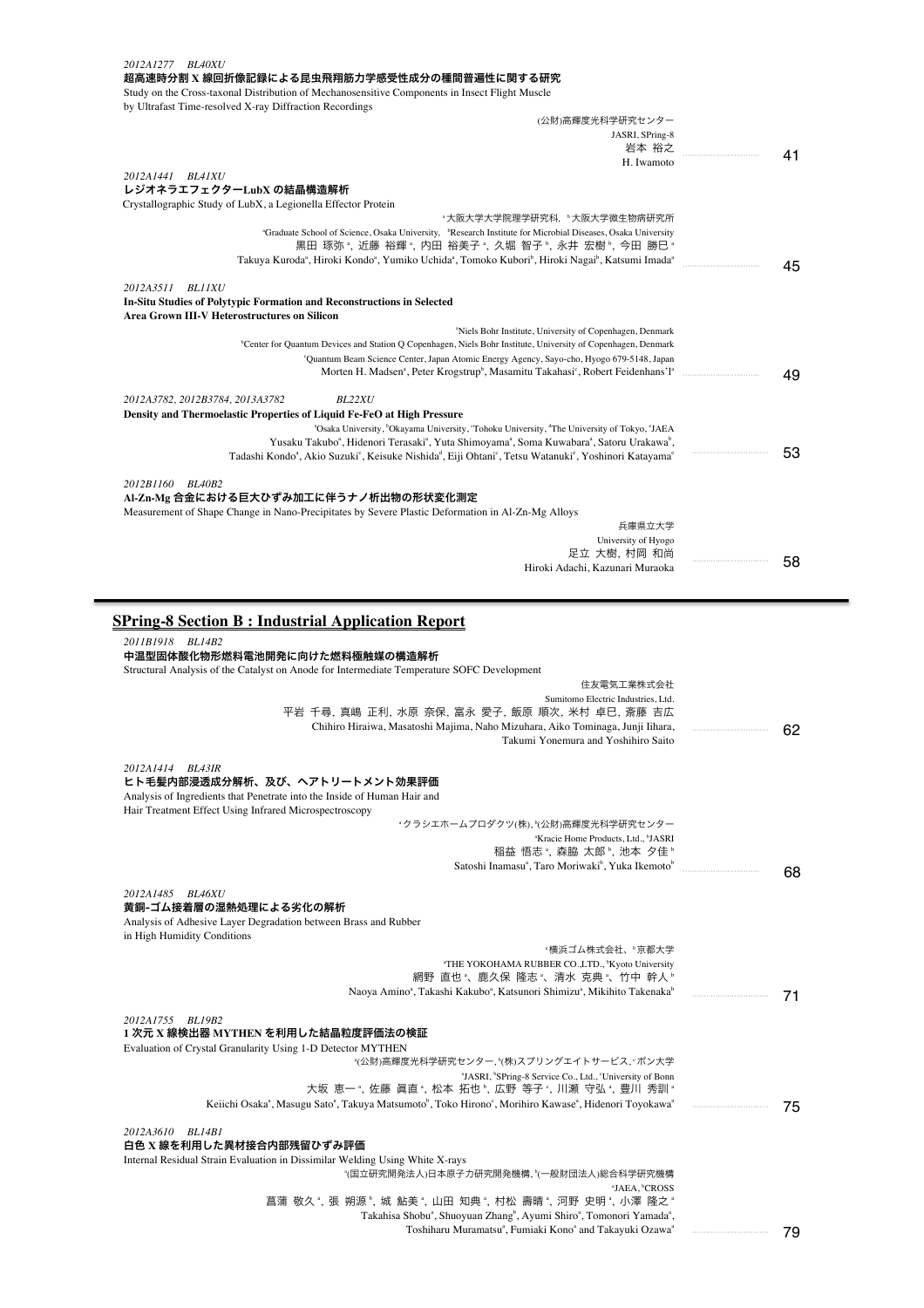| 2012A1277 BL40XU                                                                                                                                                                                                                                                                                                                                                                                                                                                                                                                                                                                                                                                                                                                                                                                       |    |
|--------------------------------------------------------------------------------------------------------------------------------------------------------------------------------------------------------------------------------------------------------------------------------------------------------------------------------------------------------------------------------------------------------------------------------------------------------------------------------------------------------------------------------------------------------------------------------------------------------------------------------------------------------------------------------------------------------------------------------------------------------------------------------------------------------|----|
| 超高速時分割 X 線回折像記録による昆虫飛翔筋力学感受性成分の種間普遍性に関する研究<br>Study on the Cross-taxonal Distribution of Mechanosensitive Components in Insect Flight Muscle                                                                                                                                                                                                                                                                                                                                                                                                                                                                                                                                                                                                                                                           |    |
| by Ultrafast Time-resolved X-ray Diffraction Recordings                                                                                                                                                                                                                                                                                                                                                                                                                                                                                                                                                                                                                                                                                                                                                |    |
| (公財)高輝度光科学研究センター                                                                                                                                                                                                                                                                                                                                                                                                                                                                                                                                                                                                                                                                                                                                                                                       |    |
| JASRI, SPring-8<br>岩本 裕之                                                                                                                                                                                                                                                                                                                                                                                                                                                                                                                                                                                                                                                                                                                                                                               |    |
| H. Iwamoto                                                                                                                                                                                                                                                                                                                                                                                                                                                                                                                                                                                                                                                                                                                                                                                             | 41 |
| 2012A1441 BL41XU<br>レジオネラエフェクターLubX の結晶構造解析                                                                                                                                                                                                                                                                                                                                                                                                                                                                                                                                                                                                                                                                                                                                                            |    |
| Crystallographic Study of LubX, a Legionella Effector Protein                                                                                                                                                                                                                                                                                                                                                                                                                                                                                                                                                                                                                                                                                                                                          |    |
| "大阪大学大学院理学研究科, "大阪大学微生物病研究所                                                                                                                                                                                                                                                                                                                                                                                                                                                                                                                                                                                                                                                                                                                                                                            |    |
| "Graduate School of Science, Osaka University, <sup>b</sup> Research Institute for Microbial Diseases, Osaka University<br>黒田 琢弥 ",近藤 裕輝 ",内田 裕美子 ",久堀 智子 ",永井 宏樹 ",今田 勝巳 "                                                                                                                                                                                                                                                                                                                                                                                                                                                                                                                                                                                                                            |    |
| Takuya Kuroda <sup>a</sup> , Hiroki Kondo <sup>a</sup> , Yumiko Uchida <sup>a</sup> , Tomoko Kubori <sup>b</sup> , Hiroki Nagai <sup>b</sup> , Katsumi Imada <sup>a</sup>                                                                                                                                                                                                                                                                                                                                                                                                                                                                                                                                                                                                                              | 45 |
| 2012A3511 BL11XU                                                                                                                                                                                                                                                                                                                                                                                                                                                                                                                                                                                                                                                                                                                                                                                       |    |
| In-Situ Studies of Polytypic Formation and Reconstructions in Selected                                                                                                                                                                                                                                                                                                                                                                                                                                                                                                                                                                                                                                                                                                                                 |    |
| Area Grown III-V Heterostructures on Silicon                                                                                                                                                                                                                                                                                                                                                                                                                                                                                                                                                                                                                                                                                                                                                           |    |
| "Niels Bohr Institute, University of Copenhagen, Denmark<br><sup>b</sup> Center for Quantum Devices and Station Q Copenhagen, Niels Bohr Institute, University of Copenhagen, Denmark                                                                                                                                                                                                                                                                                                                                                                                                                                                                                                                                                                                                                  |    |
| 'Quantum Beam Science Center, Japan Atomic Energy Agency, Sayo-cho, Hyogo 679-5148, Japan                                                                                                                                                                                                                                                                                                                                                                                                                                                                                                                                                                                                                                                                                                              |    |
| Morten H. Madsen <sup>a</sup> , Peter Krogstrup <sup>b</sup> , Masamitu Takahasi <sup>c</sup> , Robert Feidenhans'l <sup>a</sup>                                                                                                                                                                                                                                                                                                                                                                                                                                                                                                                                                                                                                                                                       | 49 |
| 2012A3782, 2012B3784, 2013A3782<br><b>BL22XU</b>                                                                                                                                                                                                                                                                                                                                                                                                                                                                                                                                                                                                                                                                                                                                                       |    |
| Density and Thermoelastic Properties of Liquid Fe-FeO at High Pressure                                                                                                                                                                                                                                                                                                                                                                                                                                                                                                                                                                                                                                                                                                                                 |    |
| "Osaka University, "Okayama University, 'Tohoku University, "The University of Tokyo, 'JAEA<br>Yusaku Takubo <sup>a</sup> , Hidenori Terasaki <sup>a</sup> , Yuta Shimoyama <sup>a</sup> , Soma Kuwabara <sup>a</sup> , Satoru Urakawa <sup>b</sup> ,                                                                                                                                                                                                                                                                                                                                                                                                                                                                                                                                                  |    |
| Tadashi Kondo <sup>a</sup> , Akio Suzuki <sup>c</sup> , Keisuke Nishida <sup>a</sup> , Eiji Ohtani <sup>c</sup> , Tetsu Watanuki <sup>c</sup> , Yoshinori Katayama <sup>c</sup>                                                                                                                                                                                                                                                                                                                                                                                                                                                                                                                                                                                                                        | 53 |
|                                                                                                                                                                                                                                                                                                                                                                                                                                                                                                                                                                                                                                                                                                                                                                                                        |    |
| 2012B1160 BL40B2<br>Al-Zn-Mg 合金における巨大ひずみ加工に伴うナノ析出物の形状変化測定                                                                                                                                                                                                                                                                                                                                                                                                                                                                                                                                                                                                                                                                                                                                              |    |
| Measurement of Shape Change in Nano-Precipitates by Severe Plastic Deformation in Al-Zn-Mg Alloys                                                                                                                                                                                                                                                                                                                                                                                                                                                                                                                                                                                                                                                                                                      |    |
| 兵庫県立大学                                                                                                                                                                                                                                                                                                                                                                                                                                                                                                                                                                                                                                                                                                                                                                                                 |    |
| University of Hyogo<br>足立 大樹, 村岡 和尚                                                                                                                                                                                                                                                                                                                                                                                                                                                                                                                                                                                                                                                                                                                                                                    |    |
| Hiroki Adachi, Kazunari Muraoka                                                                                                                                                                                                                                                                                                                                                                                                                                                                                                                                                                                                                                                                                                                                                                        | 58 |
|                                                                                                                                                                                                                                                                                                                                                                                                                                                                                                                                                                                                                                                                                                                                                                                                        |    |
| <b>SPring-8 Section B: Industrial Application Report</b>                                                                                                                                                                                                                                                                                                                                                                                                                                                                                                                                                                                                                                                                                                                                               |    |
|                                                                                                                                                                                                                                                                                                                                                                                                                                                                                                                                                                                                                                                                                                                                                                                                        |    |
|                                                                                                                                                                                                                                                                                                                                                                                                                                                                                                                                                                                                                                                                                                                                                                                                        |    |
| 住友電気工業株式会社                                                                                                                                                                                                                                                                                                                                                                                                                                                                                                                                                                                                                                                                                                                                                                                             |    |
| Sumitomo Electric Industries, Ltd.                                                                                                                                                                                                                                                                                                                                                                                                                                                                                                                                                                                                                                                                                                                                                                     |    |
| 平岩 千尋、真嶋 正利、水原 奈保、富永 愛子、飯原 順次、米村 卓巳、斎藤 吉広                                                                                                                                                                                                                                                                                                                                                                                                                                                                                                                                                                                                                                                                                                                                                              |    |
| Chihiro Hiraiwa, Masatoshi Majima, Naho Mizuhara, Aiko Tominaga, Junji Iihara,<br>Takumi Yonemura and Yoshihiro Saito                                                                                                                                                                                                                                                                                                                                                                                                                                                                                                                                                                                                                                                                                  | 62 |
|                                                                                                                                                                                                                                                                                                                                                                                                                                                                                                                                                                                                                                                                                                                                                                                                        |    |
|                                                                                                                                                                                                                                                                                                                                                                                                                                                                                                                                                                                                                                                                                                                                                                                                        |    |
|                                                                                                                                                                                                                                                                                                                                                                                                                                                                                                                                                                                                                                                                                                                                                                                                        |    |
|                                                                                                                                                                                                                                                                                                                                                                                                                                                                                                                                                                                                                                                                                                                                                                                                        |    |
| *クラシエホームプロダクツ(株)、 <sup>b</sup> (公財)高輝度光科学研究センター<br><sup>a</sup> Kracie Home Products, Ltd., <sup>b</sup> JASRI                                                                                                                                                                                                                                                                                                                                                                                                                                                                                                                                                                                                                                                                                         |    |
| 稲益 悟志 ゚, 森脇 太郎 ゚, 池本 タ佳 ゚                                                                                                                                                                                                                                                                                                                                                                                                                                                                                                                                                                                                                                                                                                                                                                              |    |
| Satoshi Inamasu <sup>a</sup> , Taro Moriwaki <sup>b</sup> , Yuka Ikemoto <sup>b</sup>                                                                                                                                                                                                                                                                                                                                                                                                                                                                                                                                                                                                                                                                                                                  | 68 |
|                                                                                                                                                                                                                                                                                                                                                                                                                                                                                                                                                                                                                                                                                                                                                                                                        |    |
|                                                                                                                                                                                                                                                                                                                                                                                                                                                                                                                                                                                                                                                                                                                                                                                                        |    |
|                                                                                                                                                                                                                                                                                                                                                                                                                                                                                                                                                                                                                                                                                                                                                                                                        |    |
| *横浜ゴム株式会社、"京都大学                                                                                                                                                                                                                                                                                                                                                                                                                                                                                                                                                                                                                                                                                                                                                                                        |    |
| "THE YOKOHAMA RUBBER CO.,LTD., <sup>b</sup> Kyoto University                                                                                                                                                                                                                                                                                                                                                                                                                                                                                                                                                                                                                                                                                                                                           |    |
| 網野 直也"、鹿久保 隆志"、清水 克典"、竹中 幹人"                                                                                                                                                                                                                                                                                                                                                                                                                                                                                                                                                                                                                                                                                                                                                                           |    |
| Naoya Amino <sup>a</sup> , Takashi Kakubo <sup>a</sup> , Katsunori Shimizu <sup>a</sup> , Mikihito Takenaka <sup>b</sup>                                                                                                                                                                                                                                                                                                                                                                                                                                                                                                                                                                                                                                                                               | 71 |
|                                                                                                                                                                                                                                                                                                                                                                                                                                                                                                                                                                                                                                                                                                                                                                                                        |    |
|                                                                                                                                                                                                                                                                                                                                                                                                                                                                                                                                                                                                                                                                                                                                                                                                        |    |
| ゙(公財)高輝度光科学研究センター, ゚(株)スプリングエイトサービス, ゚ ボン大学                                                                                                                                                                                                                                                                                                                                                                                                                                                                                                                                                                                                                                                                                                                                                            |    |
| <sup>a</sup> JASRI, <sup>b</sup> SPring-8 Service Co., Ltd., 'University of Bonn                                                                                                                                                                                                                                                                                                                                                                                                                                                                                                                                                                                                                                                                                                                       |    |
| 大坂 恵一", 佐藤 眞直", 松本 拓也", 広野 等子", 川瀬 守弘", 豊川 秀訓"                                                                                                                                                                                                                                                                                                                                                                                                                                                                                                                                                                                                                                                                                                                                                         |    |
| 2011B1918 BL14B2<br>中温型固体酸化物形燃料電池開発に向けた燃料極触媒の構造解析<br>Structural Analysis of the Catalyst on Anode for Intermediate Temperature SOFC Development<br>2012A1414 BL43IR<br>ヒト毛髪内部浸透成分解析、及び、ヘアトリートメント効果評価<br>Analysis of Ingredients that Penetrate into the Inside of Human Hair and<br>Hair Treatment Effect Using Infrared Microspectroscopy<br>2012A1485 BL46XU<br>黄銅-ゴム接着層の湿熱処理による劣化の解析<br>Analysis of Adhesive Layer Degradation between Brass and Rubber<br>in High Humidity Conditions<br>2012A1755 BL19B2<br>1 次元 X 線検出器 MYTHEN を利用した結晶粒度評価法の検証<br>Evaluation of Crystal Granularity Using 1-D Detector MYTHEN<br>Keiichi Osaka <sup>a</sup> , Masugu Sato <sup>a</sup> , Takuya Matsumoto <sup>b</sup> , Toko Hirono <sup>c</sup> , Morihiro Kawase <sup>a</sup> , Hidenori Toyokawa <sup>a</sup> | 75 |
| 2012A3610 BL14B1                                                                                                                                                                                                                                                                                                                                                                                                                                                                                                                                                                                                                                                                                                                                                                                       |    |
| 白色 X 線を利用した異材接合内部残留ひずみ評価<br>Internal Residual Strain Evaluation in Dissimilar Welding Using White X-rays                                                                                                                                                                                                                                                                                                                                                                                                                                                                                                                                                                                                                                                                                               |    |
| "(国立研究開発法人)日本原子力研究開発機構, "(一般財団法人)総合科学研究機構                                                                                                                                                                                                                                                                                                                                                                                                                                                                                                                                                                                                                                                                                                                                                              |    |
| <sup>a</sup> JAEA, <sup>b</sup> CROSS<br>菖蒲 敬久*, 張 朔源*, 城 鮎美*, 山田 知典*, 村松 壽晴*, 河野 史明*, 小澤 隆之*                                                                                                                                                                                                                                                                                                                                                                                                                                                                                                                                                                                                                                                                                                          |    |

Takahisa Shobu<sup>a</sup>, Shuoyuan Zhang<sup>b</sup>, Ayumi Shiro<sup>a</sup>, Tomonori Yamada<sup>a</sup>, Toshiharu Muramatsu<sup>a</sup>, Fumiaki Kono<sup>a</sup> and Takayuki Ozawa<sup>a</sup>

・・・・・・・・・・・・・・・・・・・・・・・・・・・・・・・・・ 79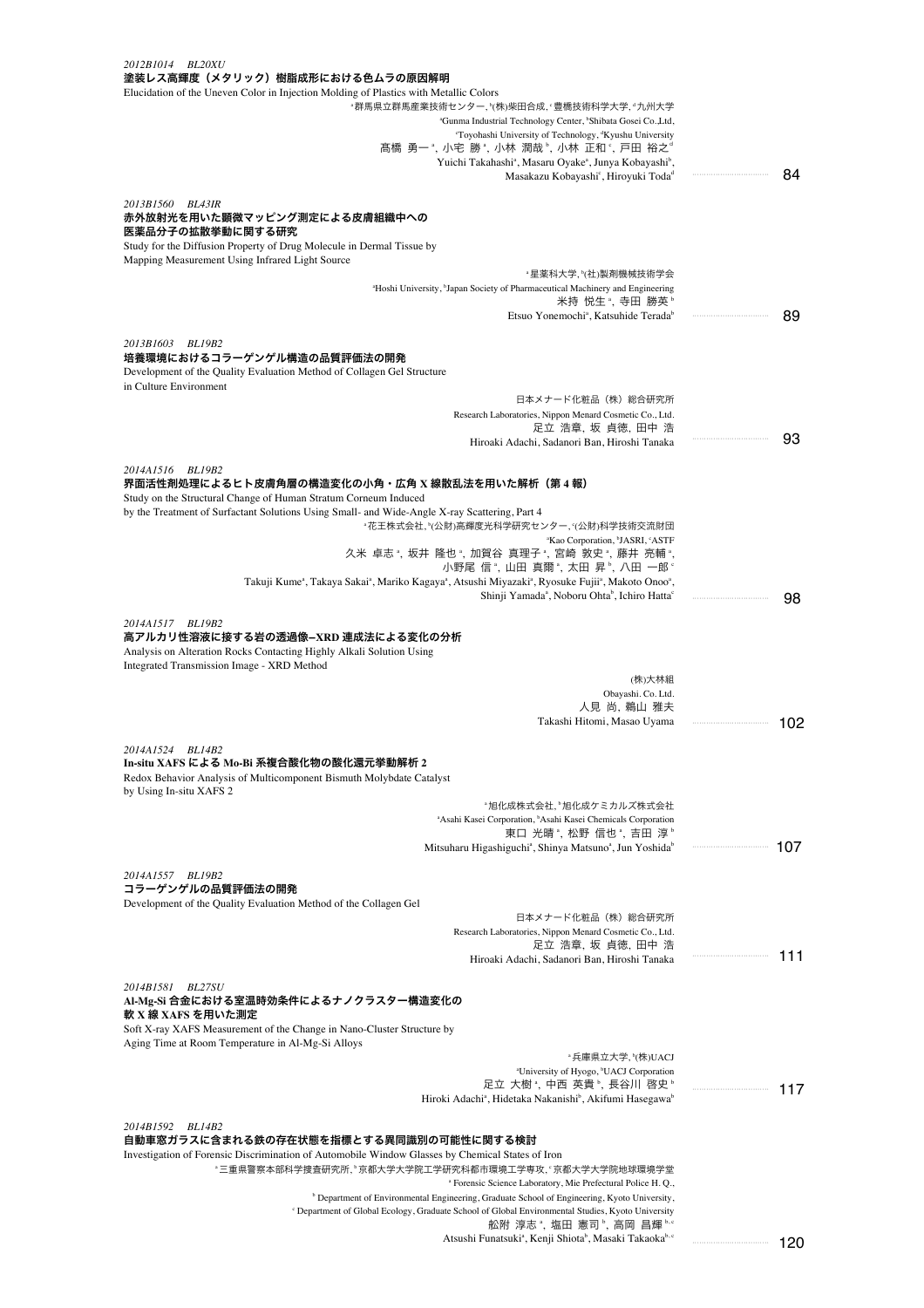| 2012B1014<br><i>BL20XU</i>                                                                                                                                                                                       |         |
|------------------------------------------------------------------------------------------------------------------------------------------------------------------------------------------------------------------|---------|
| 塗装レス高輝度(メタリック)樹脂成形における色ムラの原因解明<br>Elucidation of the Uneven Color in Injection Molding of Plastics with Metallic Colors                                                                                          |         |
| "群馬県立群馬産業技術センター, "(株)柴田合成, "豊橋技術科学大学, "九州大学                                                                                                                                                                      |         |
| "Gunma Industrial Technology Center, "Shibata Gosei Co., Ltd,                                                                                                                                                    |         |
| 'Toyohashi University of Technology, 'Kyushu University                                                                                                                                                          |         |
| 髙橋 勇一 ª, 小宅 勝 ª, 小林 潤哉 º, 小林 正和 º, 戸田 裕之ª                                                                                                                                                                        |         |
| Yuichi Takahashi <sup>a</sup> , Masaru Oyake <sup>a</sup> , Junya Kobayashi <sup>b</sup> ,                                                                                                                       |         |
| Masakazu Kobayashi <sup>c</sup> , Hiroyuki Toda <sup>d</sup>                                                                                                                                                     | 84      |
| 2013B1560 BL43IR                                                                                                                                                                                                 |         |
| 赤外放射光を用いた顕微マッピング測定による皮膚組織中への                                                                                                                                                                                     |         |
| 医薬品分子の拡散挙動に関する研究                                                                                                                                                                                                 |         |
| Study for the Diffusion Property of Drug Molecule in Dermal Tissue by                                                                                                                                            |         |
| Mapping Measurement Using Infrared Light Source                                                                                                                                                                  |         |
| "星薬科大学,"(社)製剤機械技術学会                                                                                                                                                                                              |         |
| <sup>a</sup> Hoshi University, <sup>b</sup> Japan Society of Pharmaceutical Machinery and Engineering<br>米持 悦生 ",寺田 勝英 "                                                                                         |         |
| Etsuo Yonemochi <sup>a</sup> , Katsuhide Terada <sup>b</sup>                                                                                                                                                     | 89      |
|                                                                                                                                                                                                                  |         |
| 2013B1603<br>BL19B2                                                                                                                                                                                              |         |
| 培養環境におけるコラーゲンゲル構造の品質評価法の開発                                                                                                                                                                                       |         |
| Development of the Quality Evaluation Method of Collagen Gel Structure<br>in Culture Environment                                                                                                                 |         |
| 日本メナード化粧品(株)総合研究所                                                                                                                                                                                                |         |
| Research Laboratories, Nippon Menard Cosmetic Co., Ltd.                                                                                                                                                          |         |
| 足立 浩章, 坂 貞徳, 田中 浩                                                                                                                                                                                                |         |
| Hiroaki Adachi, Sadanori Ban, Hiroshi Tanaka                                                                                                                                                                     | 93      |
|                                                                                                                                                                                                                  |         |
| 2014A1516<br><b>BL19B2</b><br>界面活性剤処理によるヒト皮膚角層の構造変化の小角・広角 X 線散乱法を用いた解析(第 4 報)                                                                                                                                    |         |
| Study on the Structural Change of Human Stratum Corneum Induced                                                                                                                                                  |         |
| by the Treatment of Surfactant Solutions Using Small- and Wide-Angle X-ray Scattering, Part 4                                                                                                                    |         |
| "花王株式会社, "(公財)高輝度光科学研究センター, "(公財)科学技術交流財団                                                                                                                                                                        |         |
| <sup>a</sup> Kao Corporation, <sup>b</sup> JASRI, 'ASTF                                                                                                                                                          |         |
| 久米 卓志 ゚, 坂井 隆也 ゚, 加賀谷 真理子 ゚, 宮崎 敦史 ゚, 藤井 亮輔 ゚,                                                                                                                                                                   |         |
| 小野尾 信 *, 山田 真爾 *, 太田 昇 *, 八田 一郎 *<br>, Takuji Kume <sup>a</sup> , Takaya Sakai <sup>a</sup> , Mariko Kagaya <sup>a</sup> , Atsushi Miyazaki <sup>a</sup> , Ryosuke Fujii <sup>a</sup> , Makoto Onoo <sup>a</sup> |         |
| Shinji Yamada <sup>a</sup> , Noboru Ohta <sup>b</sup> , Ichiro Hatta <sup>c</sup>                                                                                                                                |         |
|                                                                                                                                                                                                                  | 98      |
| 2014A1517 BL19B2                                                                                                                                                                                                 |         |
| 高アルカリ性溶液に接する岩の透過像–XRD 連成法による変化の分析                                                                                                                                                                                |         |
| Analysis on Alteration Rocks Contacting Highly Alkali Solution Using                                                                                                                                             |         |
| Integrated Transmission Image - XRD Method<br>(株)大林組                                                                                                                                                             |         |
| Obayashi. Co. Ltd.                                                                                                                                                                                               |         |
| 人見 尚, 鵜山 雅夫                                                                                                                                                                                                      |         |
| Takashi Hitomi, Masao Uyama                                                                                                                                                                                      | 102     |
|                                                                                                                                                                                                                  |         |
| 2014A1524<br>BL14B2<br>In-situ XAFS による Mo-Bi 系複合酸化物の酸化還元挙動解析 2                                                                                                                                                  |         |
| Redox Behavior Analysis of Multicomponent Bismuth Molybdate Catalyst                                                                                                                                             |         |
| by Using In-situ XAFS 2                                                                                                                                                                                          |         |
| *旭化成株式会社,*旭化成ケミカルズ株式会社                                                                                                                                                                                           |         |
| <sup>a</sup> Asahi Kasei Corporation, <sup>b</sup> Asahi Kasei Chemicals Corporation                                                                                                                             |         |
| 東口 光晴", 松野 信也", 吉田 淳"                                                                                                                                                                                            |         |
| Mitsuharu Higashiguchi <sup>a</sup> , Shinya Matsuno <sup>a</sup> , Jun Yoshida <sup>b</sup>                                                                                                                     | 107     |
| 2014A1557 BL19B2                                                                                                                                                                                                 |         |
| コラーゲンゲルの品質評価法の開発                                                                                                                                                                                                 |         |
| Development of the Quality Evaluation Method of the Collagen Gel                                                                                                                                                 |         |
| 日本メナード化粧品(株)総合研究所                                                                                                                                                                                                |         |
| Research Laboratories, Nippon Menard Cosmetic Co., Ltd.                                                                                                                                                          |         |
| 足立 浩章, 坂 貞徳, 田中 浩<br>Hiroaki Adachi, Sadanori Ban, Hiroshi Tanaka                                                                                                                                                | <br>111 |
|                                                                                                                                                                                                                  |         |
| 2014B1581<br><b>BL27SU</b>                                                                                                                                                                                       |         |
| Al-Mg-Si 合金における室温時効条件によるナノクラスター構造変化の                                                                                                                                                                             |         |
| 軟 X 線 XAFS を用いた測定                                                                                                                                                                                                |         |
| Soft X-ray XAFS Measurement of the Change in Nano-Cluster Structure by<br>Aging Time at Room Temperature in Al-Mg-Si Alloys                                                                                      |         |
| *兵庫県立大学, 『(株)UACJ                                                                                                                                                                                                |         |
| "University of Hyogo, "UACJ Corporation                                                                                                                                                                          |         |
| 足立 大樹 ",中西 英貴 ",長谷川 啓史 "                                                                                                                                                                                         | 117     |
| Hiroki Adachi <sup>a</sup> , Hidetaka Nakanishi <sup>b</sup> , Akifumi Hasegawa <sup>b</sup>                                                                                                                     |         |
|                                                                                                                                                                                                                  |         |
| 2014B1592<br><b>BL14B2</b><br>自動車窓ガラスに含まれる鉄の存在状態を指標とする異同識別の可能性に関する検討                                                                                                                                             |         |
| Investigation of Forensic Discrimination of Automobile Window Glasses by Chemical States of Iron                                                                                                                 |         |
| "三重県警察本部科学捜査研究所, "京都大学大学院工学研究科都市環境工学専攻, '京都大学大学院地球環境学堂                                                                                                                                                           |         |
| <sup>a</sup> Forensic Science Laboratory, Mie Prefectural Police H. Q.,                                                                                                                                          |         |
| <sup>b</sup> Department of Environmental Engineering, Graduate School of Engineering, Kyoto University,                                                                                                          |         |
| <sup>c</sup> Department of Global Ecology, Graduate School of Global Environmental Studies, Kyoto University                                                                                                     |         |
| 舩附 淳志 *, 塩田 憲司 *, 高岡 昌輝 ʰ.º<br>Atsushi Funatsuki <sup>a</sup> , Kenji Shiota <sup>b</sup> , Masaki Takaoka <sup>b, c</sup>                                                                                       |         |
|                                                                                                                                                                                                                  | 120     |